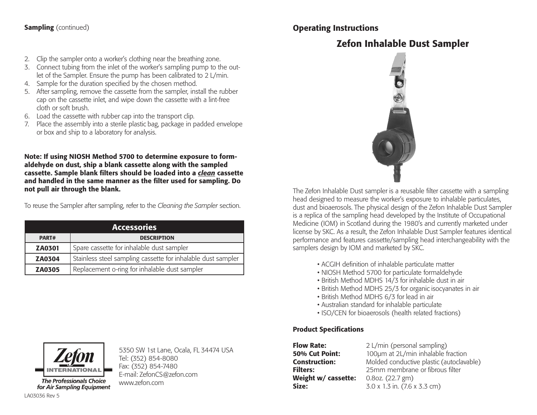# **Sampling** (continued)

# 2. Clip the sampler onto a worker's clothing near the breathing zone.

- 3. Connect tubing from the inlet of the worker's sampling pump to the outlet of the Sampler. Ensure the pump has been calibrated to 2 L/min.
- 4. Sample for the duration specified by the chosen method.
- 5. After sampling, remove the cassette from the sampler, install the rubber cap on the cassette inlet, and wipe down the cassette with a lint-free cloth or soft brush.
- 6. Load the cassette with rubber cap into the transport clip.
- 7. Place the assembly into a sterile plastic bag, package in padded envelope or box and ship to a laboratory for analysis.

Note: If using NIOSH Method 5700 to determine exposure to formaldehyde on dust, ship a blank cassette along with the sampled cassette. Sample blank filters should be loaded into a *clean* cassette and handled in the same manner as the filter used for sampling. Do not pull air through the blank.

To reuse the Sampler after sampling, refer to the *Cleaning the Sampler* section.

| <b>Accessories</b> |                                                              |
|--------------------|--------------------------------------------------------------|
| PART#              | <b>DESCRIPTION</b>                                           |
| <b>ZA0301</b>      | Spare cassette for inhalable dust sampler                    |
| <b>ZA0304</b>      | Stainless steel sampling cassette for inhalable dust sampler |
| <b>ZA0305</b>      | Replacement o-ring for inhalable dust sampler                |



**The Professionals Choice** 

5350 SW 1st Lane, Ocala, FL 34474 USA Tel: (352) 854-8080 Fax: (352) 854-7480 E-mail: ZefonCS@zefon.com www.zefon.com



The Zefon Inhalable Dust sampler is a reusable filter cassette with a sampling head designed to measure the worker's exposure to inhalable particulates, dust and bioaerosols. The physical design of the Zefon Inhalable Dust Sampler is a replica of the sampling head developed by the Institute of Occupational Medicine (IOM) in Scotland during the 1980's and currently marketed under license by SKC. As a result, the Zefon Inhalable Dust Sampler features identical performance and features cassette/sampling head interchangeability with the samplers design by IOM and marketed by SKC.

- ACGIH definition of inhalable particulate matter
- NIOSH Method 5700 for particulate formaldehyde
- British Method MDHS 14/3 for inhalable dust in air
- British Method MDHS 25/3 for organic isocyanates in air
- British Method MDHS 6/3 for lead in air
- Australian standard for inhalable particulate
- ISO/CEN for bioaerosols (health related fractions)

# Product Specifications

Operating Instructions

**Flow Rate:** 2 L/min (personal sampling) **50% Cut Point:** 100μm at 2L/min inhalable fraction **Construction:** Molded conductive plastic (autoclavable) **Filters:** 25mm membrane or fibrous filter Weight w/ cassette: 0.8oz. (22.7 gm) **Size:**  $3.0 \times 1.3$  in.  $(7.6 \times 3.3 \text{ cm})$